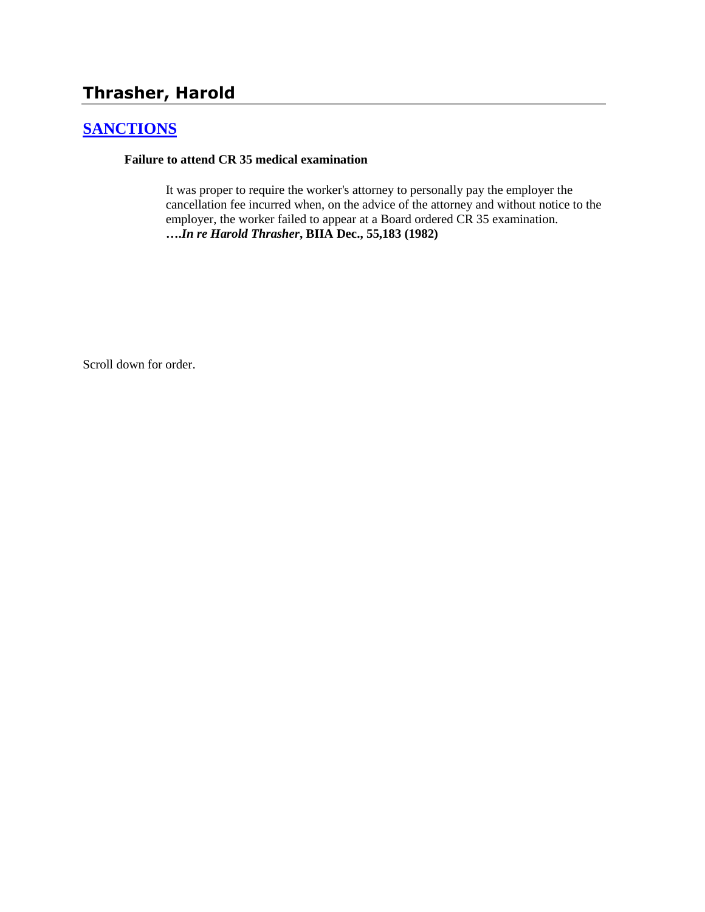# **Thrasher, Harold**

## **[SANCTIONS](http://www.biia.wa.gov/SDSubjectIndex.html#SANCTIONS)**

#### **Failure to attend CR 35 medical examination**

It was proper to require the worker's attorney to personally pay the employer the cancellation fee incurred when, on the advice of the attorney and without notice to the employer, the worker failed to appear at a Board ordered CR 35 examination. **….***In re Harold Thrasher***, BIIA Dec., 55,183 (1982)** 

Scroll down for order.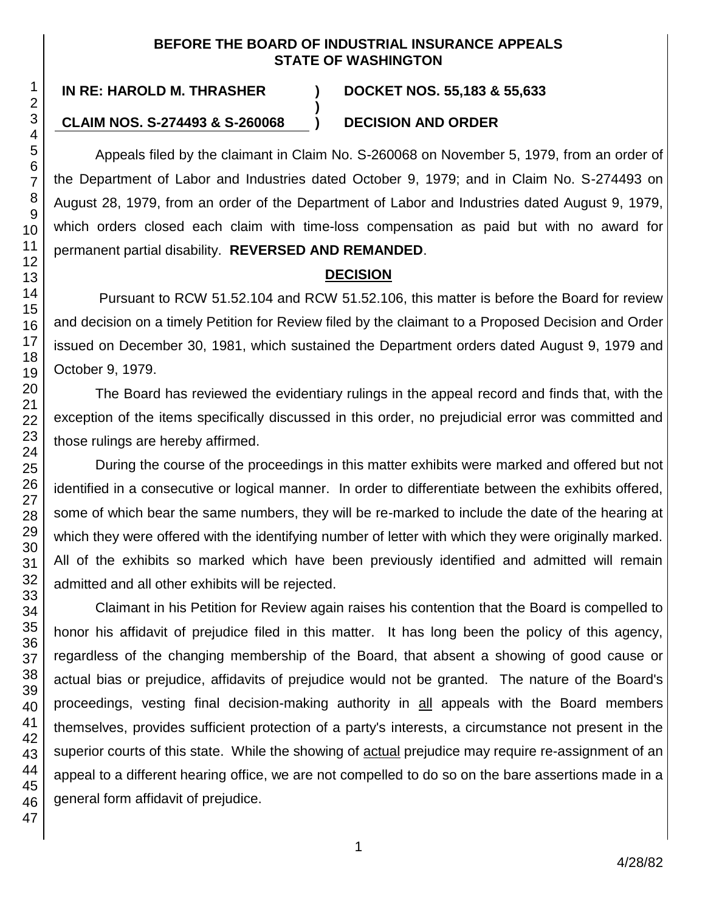#### **BEFORE THE BOARD OF INDUSTRIAL INSURANCE APPEALS STATE OF WASHINGTON**

# **IN RE: HAROLD M. THRASHER ) DOCKET NOS. 55,183 & 55,633**

# **)**

### **CLAIM NOS. S-274493 & S-260068 ) DECISION AND ORDER**

Appeals filed by the claimant in Claim No. S-260068 on November 5, 1979, from an order of the Department of Labor and Industries dated October 9, 1979; and in Claim No. S-274493 on August 28, 1979, from an order of the Department of Labor and Industries dated August 9, 1979, which orders closed each claim with time-loss compensation as paid but with no award for permanent partial disability. **REVERSED AND REMANDED**.

## **DECISION**

Pursuant to RCW 51.52.104 and RCW 51.52.106, this matter is before the Board for review and decision on a timely Petition for Review filed by the claimant to a Proposed Decision and Order issued on December 30, 1981, which sustained the Department orders dated August 9, 1979 and October 9, 1979.

The Board has reviewed the evidentiary rulings in the appeal record and finds that, with the exception of the items specifically discussed in this order, no prejudicial error was committed and those rulings are hereby affirmed.

During the course of the proceedings in this matter exhibits were marked and offered but not identified in a consecutive or logical manner. In order to differentiate between the exhibits offered, some of which bear the same numbers, they will be re-marked to include the date of the hearing at which they were offered with the identifying number of letter with which they were originally marked. All of the exhibits so marked which have been previously identified and admitted will remain admitted and all other exhibits will be rejected.

Claimant in his Petition for Review again raises his contention that the Board is compelled to honor his affidavit of prejudice filed in this matter. It has long been the policy of this agency, regardless of the changing membership of the Board, that absent a showing of good cause or actual bias or prejudice, affidavits of prejudice would not be granted. The nature of the Board's proceedings, vesting final decision-making authority in all appeals with the Board members themselves, provides sufficient protection of a party's interests, a circumstance not present in the superior courts of this state. While the showing of **actual** prejudice may require re-assignment of an appeal to a different hearing office, we are not compelled to do so on the bare assertions made in a general form affidavit of prejudice.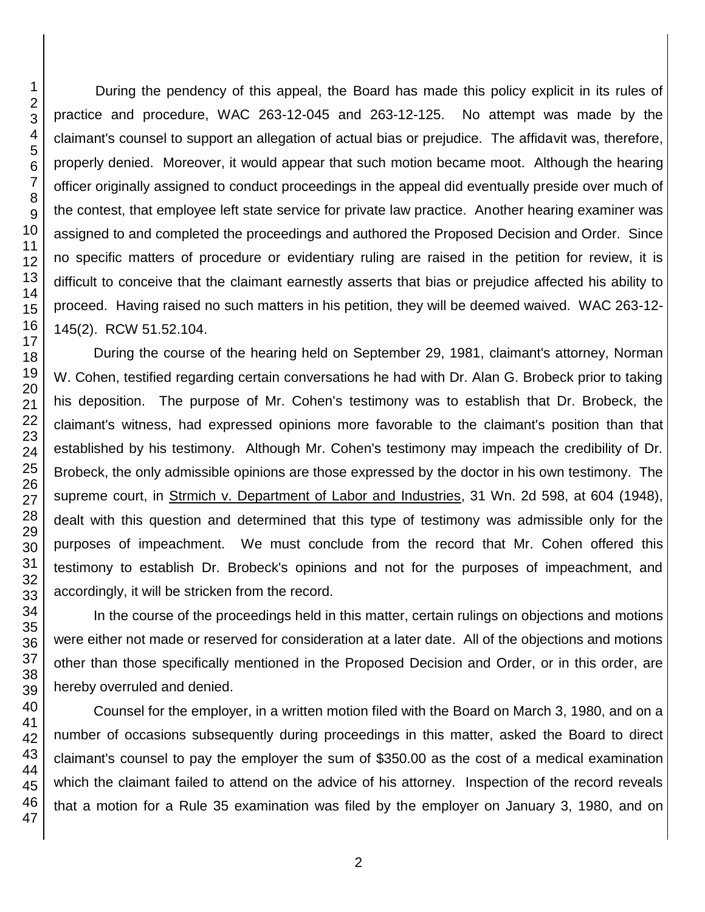During the pendency of this appeal, the Board has made this policy explicit in its rules of practice and procedure, WAC 263-12-045 and 263-12-125. No attempt was made by the claimant's counsel to support an allegation of actual bias or prejudice. The affidavit was, therefore, properly denied. Moreover, it would appear that such motion became moot. Although the hearing officer originally assigned to conduct proceedings in the appeal did eventually preside over much of the contest, that employee left state service for private law practice. Another hearing examiner was assigned to and completed the proceedings and authored the Proposed Decision and Order. Since no specific matters of procedure or evidentiary ruling are raised in the petition for review, it is difficult to conceive that the claimant earnestly asserts that bias or prejudice affected his ability to proceed. Having raised no such matters in his petition, they will be deemed waived. WAC 263-12- 145(2). RCW 51.52.104.

During the course of the hearing held on September 29, 1981, claimant's attorney, Norman W. Cohen, testified regarding certain conversations he had with Dr. Alan G. Brobeck prior to taking his deposition. The purpose of Mr. Cohen's testimony was to establish that Dr. Brobeck, the claimant's witness, had expressed opinions more favorable to the claimant's position than that established by his testimony. Although Mr. Cohen's testimony may impeach the credibility of Dr. Brobeck, the only admissible opinions are those expressed by the doctor in his own testimony. The supreme court, in Strmich v. Department of Labor and Industries, 31 Wn. 2d 598, at 604 (1948), dealt with this question and determined that this type of testimony was admissible only for the purposes of impeachment. We must conclude from the record that Mr. Cohen offered this testimony to establish Dr. Brobeck's opinions and not for the purposes of impeachment, and accordingly, it will be stricken from the record.

In the course of the proceedings held in this matter, certain rulings on objections and motions were either not made or reserved for consideration at a later date. All of the objections and motions other than those specifically mentioned in the Proposed Decision and Order, or in this order, are hereby overruled and denied.

Counsel for the employer, in a written motion filed with the Board on March 3, 1980, and on a number of occasions subsequently during proceedings in this matter, asked the Board to direct claimant's counsel to pay the employer the sum of \$350.00 as the cost of a medical examination which the claimant failed to attend on the advice of his attorney. Inspection of the record reveals that a motion for a Rule 35 examination was filed by the employer on January 3, 1980, and on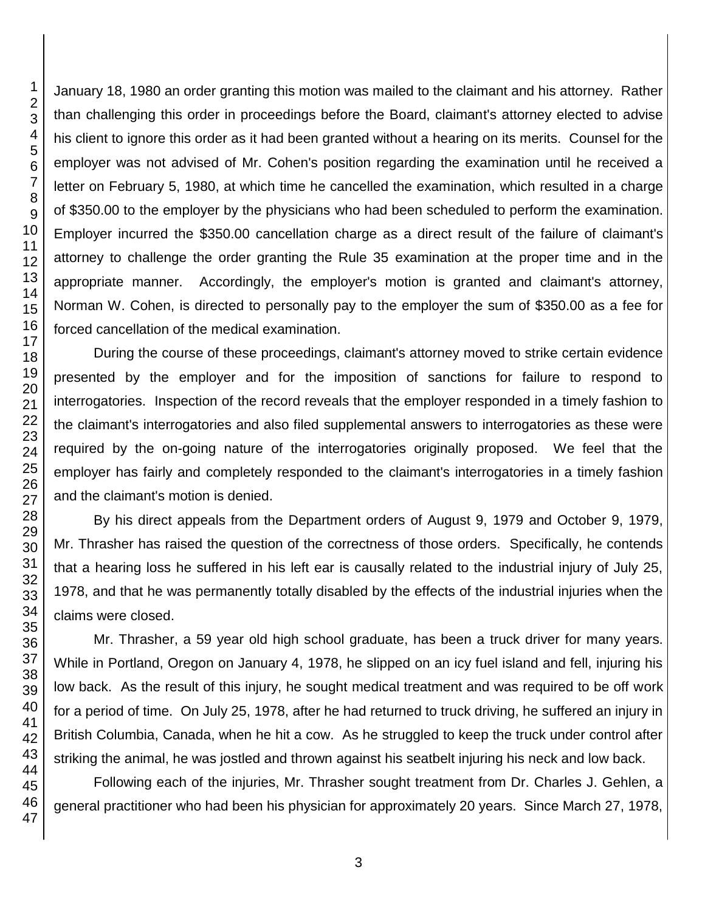January 18, 1980 an order granting this motion was mailed to the claimant and his attorney. Rather than challenging this order in proceedings before the Board, claimant's attorney elected to advise his client to ignore this order as it had been granted without a hearing on its merits. Counsel for the employer was not advised of Mr. Cohen's position regarding the examination until he received a letter on February 5, 1980, at which time he cancelled the examination, which resulted in a charge of \$350.00 to the employer by the physicians who had been scheduled to perform the examination. Employer incurred the \$350.00 cancellation charge as a direct result of the failure of claimant's attorney to challenge the order granting the Rule 35 examination at the proper time and in the appropriate manner. Accordingly, the employer's motion is granted and claimant's attorney, Norman W. Cohen, is directed to personally pay to the employer the sum of \$350.00 as a fee for forced cancellation of the medical examination.

During the course of these proceedings, claimant's attorney moved to strike certain evidence presented by the employer and for the imposition of sanctions for failure to respond to interrogatories. Inspection of the record reveals that the employer responded in a timely fashion to the claimant's interrogatories and also filed supplemental answers to interrogatories as these were required by the on-going nature of the interrogatories originally proposed. We feel that the employer has fairly and completely responded to the claimant's interrogatories in a timely fashion and the claimant's motion is denied.

By his direct appeals from the Department orders of August 9, 1979 and October 9, 1979, Mr. Thrasher has raised the question of the correctness of those orders. Specifically, he contends that a hearing loss he suffered in his left ear is causally related to the industrial injury of July 25, 1978, and that he was permanently totally disabled by the effects of the industrial injuries when the claims were closed.

Mr. Thrasher, a 59 year old high school graduate, has been a truck driver for many years. While in Portland, Oregon on January 4, 1978, he slipped on an icy fuel island and fell, injuring his low back. As the result of this injury, he sought medical treatment and was required to be off work for a period of time. On July 25, 1978, after he had returned to truck driving, he suffered an injury in British Columbia, Canada, when he hit a cow. As he struggled to keep the truck under control after striking the animal, he was jostled and thrown against his seatbelt injuring his neck and low back.

Following each of the injuries, Mr. Thrasher sought treatment from Dr. Charles J. Gehlen, a general practitioner who had been his physician for approximately 20 years. Since March 27, 1978,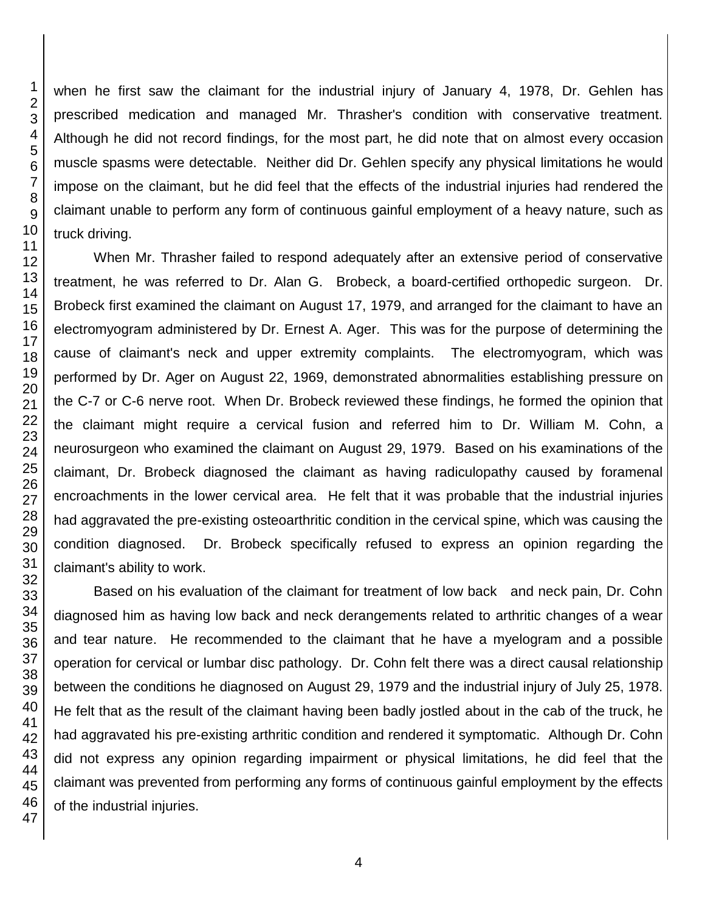when he first saw the claimant for the industrial injury of January 4, 1978, Dr. Gehlen has prescribed medication and managed Mr. Thrasher's condition with conservative treatment. Although he did not record findings, for the most part, he did note that on almost every occasion muscle spasms were detectable. Neither did Dr. Gehlen specify any physical limitations he would impose on the claimant, but he did feel that the effects of the industrial injuries had rendered the claimant unable to perform any form of continuous gainful employment of a heavy nature, such as truck driving.

When Mr. Thrasher failed to respond adequately after an extensive period of conservative treatment, he was referred to Dr. Alan G. Brobeck, a board-certified orthopedic surgeon. Dr. Brobeck first examined the claimant on August 17, 1979, and arranged for the claimant to have an electromyogram administered by Dr. Ernest A. Ager. This was for the purpose of determining the cause of claimant's neck and upper extremity complaints. The electromyogram, which was performed by Dr. Ager on August 22, 1969, demonstrated abnormalities establishing pressure on the C-7 or C-6 nerve root. When Dr. Brobeck reviewed these findings, he formed the opinion that the claimant might require a cervical fusion and referred him to Dr. William M. Cohn, a neurosurgeon who examined the claimant on August 29, 1979. Based on his examinations of the claimant, Dr. Brobeck diagnosed the claimant as having radiculopathy caused by foramenal encroachments in the lower cervical area. He felt that it was probable that the industrial injuries had aggravated the pre-existing osteoarthritic condition in the cervical spine, which was causing the condition diagnosed. Dr. Brobeck specifically refused to express an opinion regarding the claimant's ability to work.

Based on his evaluation of the claimant for treatment of low back and neck pain, Dr. Cohn diagnosed him as having low back and neck derangements related to arthritic changes of a wear and tear nature. He recommended to the claimant that he have a myelogram and a possible operation for cervical or lumbar disc pathology. Dr. Cohn felt there was a direct causal relationship between the conditions he diagnosed on August 29, 1979 and the industrial injury of July 25, 1978. He felt that as the result of the claimant having been badly jostled about in the cab of the truck, he had aggravated his pre-existing arthritic condition and rendered it symptomatic. Although Dr. Cohn did not express any opinion regarding impairment or physical limitations, he did feel that the claimant was prevented from performing any forms of continuous gainful employment by the effects of the industrial injuries.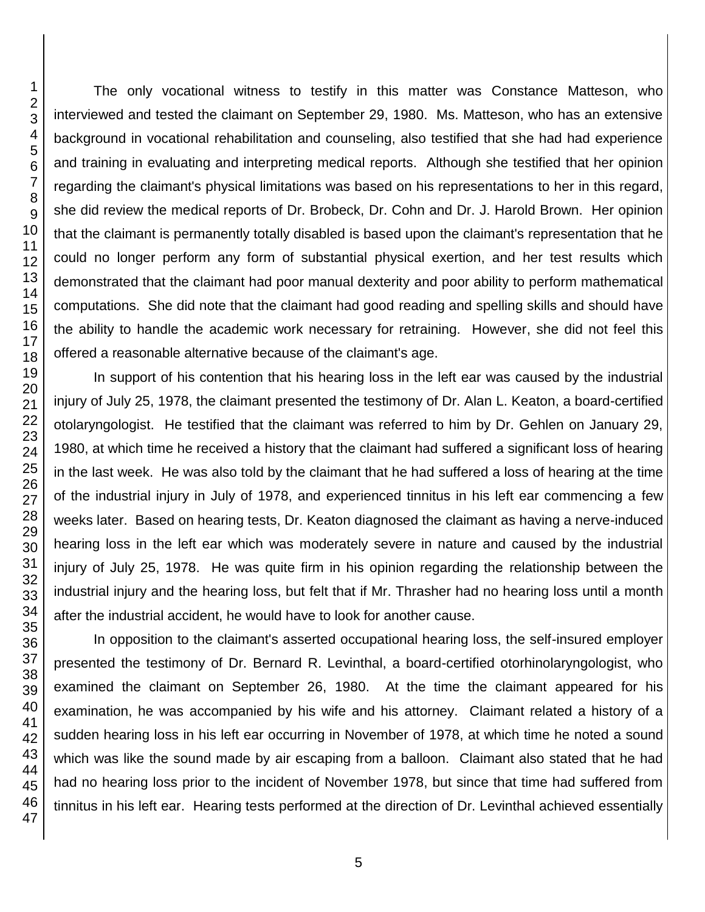The only vocational witness to testify in this matter was Constance Matteson, who interviewed and tested the claimant on September 29, 1980. Ms. Matteson, who has an extensive background in vocational rehabilitation and counseling, also testified that she had had experience and training in evaluating and interpreting medical reports. Although she testified that her opinion regarding the claimant's physical limitations was based on his representations to her in this regard, she did review the medical reports of Dr. Brobeck, Dr. Cohn and Dr. J. Harold Brown. Her opinion that the claimant is permanently totally disabled is based upon the claimant's representation that he could no longer perform any form of substantial physical exertion, and her test results which demonstrated that the claimant had poor manual dexterity and poor ability to perform mathematical computations. She did note that the claimant had good reading and spelling skills and should have the ability to handle the academic work necessary for retraining. However, she did not feel this offered a reasonable alternative because of the claimant's age.

In support of his contention that his hearing loss in the left ear was caused by the industrial injury of July 25, 1978, the claimant presented the testimony of Dr. Alan L. Keaton, a board-certified otolaryngologist. He testified that the claimant was referred to him by Dr. Gehlen on January 29, 1980, at which time he received a history that the claimant had suffered a significant loss of hearing in the last week. He was also told by the claimant that he had suffered a loss of hearing at the time of the industrial injury in July of 1978, and experienced tinnitus in his left ear commencing a few weeks later. Based on hearing tests, Dr. Keaton diagnosed the claimant as having a nerve-induced hearing loss in the left ear which was moderately severe in nature and caused by the industrial injury of July 25, 1978. He was quite firm in his opinion regarding the relationship between the industrial injury and the hearing loss, but felt that if Mr. Thrasher had no hearing loss until a month after the industrial accident, he would have to look for another cause.

In opposition to the claimant's asserted occupational hearing loss, the self-insured employer presented the testimony of Dr. Bernard R. Levinthal, a board-certified otorhinolaryngologist, who examined the claimant on September 26, 1980. At the time the claimant appeared for his examination, he was accompanied by his wife and his attorney. Claimant related a history of a sudden hearing loss in his left ear occurring in November of 1978, at which time he noted a sound which was like the sound made by air escaping from a balloon. Claimant also stated that he had had no hearing loss prior to the incident of November 1978, but since that time had suffered from tinnitus in his left ear. Hearing tests performed at the direction of Dr. Levinthal achieved essentially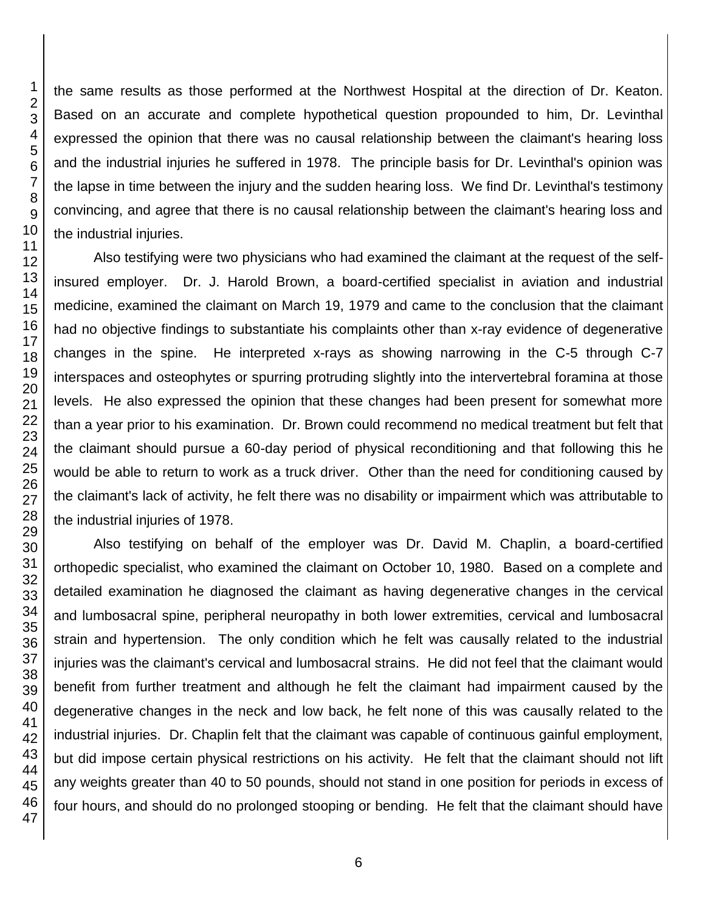the same results as those performed at the Northwest Hospital at the direction of Dr. Keaton. Based on an accurate and complete hypothetical question propounded to him, Dr. Levinthal expressed the opinion that there was no causal relationship between the claimant's hearing loss and the industrial injuries he suffered in 1978. The principle basis for Dr. Levinthal's opinion was the lapse in time between the injury and the sudden hearing loss. We find Dr. Levinthal's testimony convincing, and agree that there is no causal relationship between the claimant's hearing loss and the industrial injuries.

Also testifying were two physicians who had examined the claimant at the request of the selfinsured employer. Dr. J. Harold Brown, a board-certified specialist in aviation and industrial medicine, examined the claimant on March 19, 1979 and came to the conclusion that the claimant had no objective findings to substantiate his complaints other than x-ray evidence of degenerative changes in the spine. He interpreted x-rays as showing narrowing in the C-5 through C-7 interspaces and osteophytes or spurring protruding slightly into the intervertebral foramina at those levels. He also expressed the opinion that these changes had been present for somewhat more than a year prior to his examination. Dr. Brown could recommend no medical treatment but felt that the claimant should pursue a 60-day period of physical reconditioning and that following this he would be able to return to work as a truck driver. Other than the need for conditioning caused by the claimant's lack of activity, he felt there was no disability or impairment which was attributable to the industrial injuries of 1978.

Also testifying on behalf of the employer was Dr. David M. Chaplin, a board-certified orthopedic specialist, who examined the claimant on October 10, 1980. Based on a complete and detailed examination he diagnosed the claimant as having degenerative changes in the cervical and lumbosacral spine, peripheral neuropathy in both lower extremities, cervical and lumbosacral strain and hypertension. The only condition which he felt was causally related to the industrial injuries was the claimant's cervical and lumbosacral strains. He did not feel that the claimant would benefit from further treatment and although he felt the claimant had impairment caused by the degenerative changes in the neck and low back, he felt none of this was causally related to the industrial injuries. Dr. Chaplin felt that the claimant was capable of continuous gainful employment, but did impose certain physical restrictions on his activity. He felt that the claimant should not lift any weights greater than 40 to 50 pounds, should not stand in one position for periods in excess of four hours, and should do no prolonged stooping or bending. He felt that the claimant should have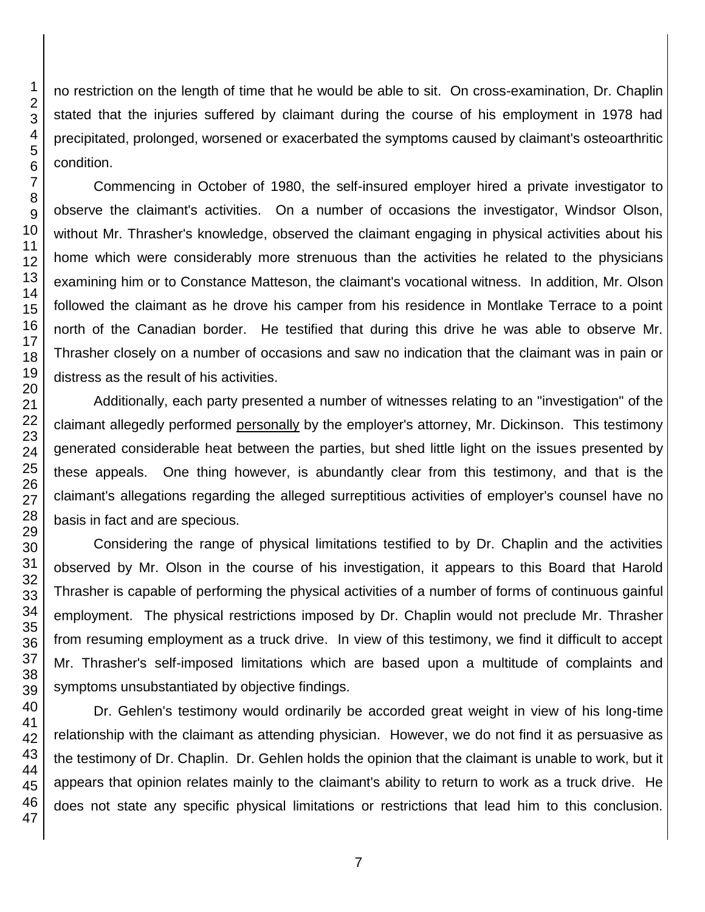no restriction on the length of time that he would be able to sit. On cross-examination, Dr. Chaplin stated that the injuries suffered by claimant during the course of his employment in 1978 had precipitated, prolonged, worsened or exacerbated the symptoms caused by claimant's osteoarthritic condition. Commencing in October of 1980, the self-insured employer hired a private investigator to observe the claimant's activities. On a number of occasions the investigator, Windsor Olson, without Mr. Thrasher's knowledge, observed the claimant engaging in physical activities about his home which were considerably more strenuous than the activities he related to the physicians examining him or to Constance Matteson, the claimant's vocational witness. In addition, Mr. Olson followed the claimant as he drove his camper from his residence in Montlake Terrace to a point north of the Canadian border. He testified that during this drive he was able to observe Mr. Thrasher closely on a number of occasions and saw no indication that the claimant was in pain or distress as the result of his activities.

Additionally, each party presented a number of witnesses relating to an "investigation" of the claimant allegedly performed personally by the employer's attorney, Mr. Dickinson. This testimony generated considerable heat between the parties, but shed little light on the issues presented by these appeals. One thing however, is abundantly clear from this testimony, and that is the claimant's allegations regarding the alleged surreptitious activities of employer's counsel have no basis in fact and are specious.

Considering the range of physical limitations testified to by Dr. Chaplin and the activities observed by Mr. Olson in the course of his investigation, it appears to this Board that Harold Thrasher is capable of performing the physical activities of a number of forms of continuous gainful employment. The physical restrictions imposed by Dr. Chaplin would not preclude Mr. Thrasher from resuming employment as a truck drive. In view of this testimony, we find it difficult to accept Mr. Thrasher's self-imposed limitations which are based upon a multitude of complaints and symptoms unsubstantiated by objective findings.

Dr. Gehlen's testimony would ordinarily be accorded great weight in view of his long-time relationship with the claimant as attending physician. However, we do not find it as persuasive as the testimony of Dr. Chaplin. Dr. Gehlen holds the opinion that the claimant is unable to work, but it appears that opinion relates mainly to the claimant's ability to return to work as a truck drive. He does not state any specific physical limitations or restrictions that lead him to this conclusion.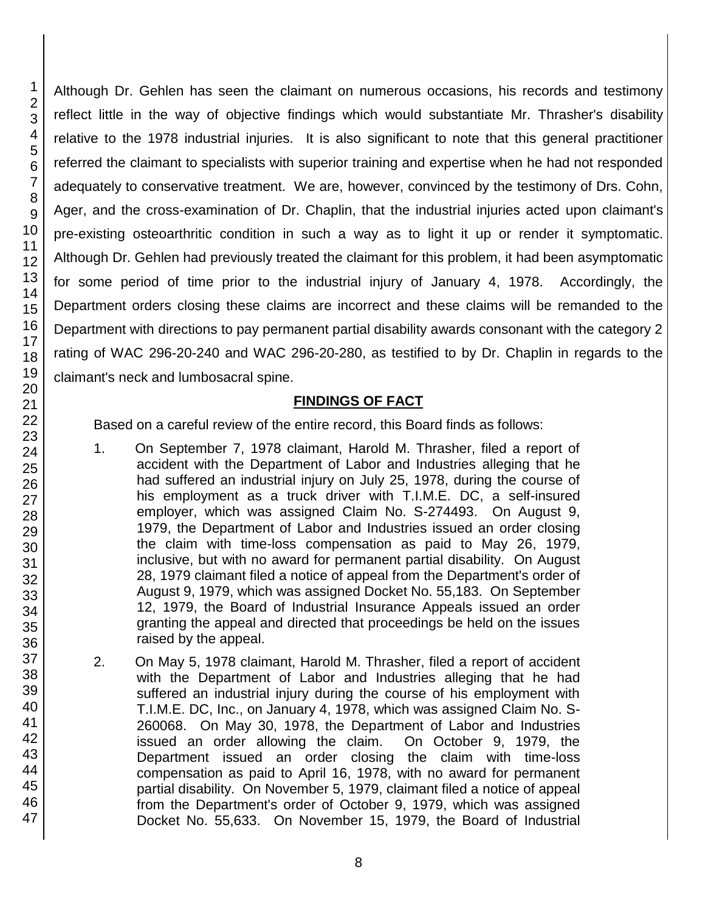1 2 3

Although Dr. Gehlen has seen the claimant on numerous occasions, his records and testimony reflect little in the way of objective findings which would substantiate Mr. Thrasher's disability relative to the 1978 industrial injuries. It is also significant to note that this general practitioner referred the claimant to specialists with superior training and expertise when he had not responded adequately to conservative treatment. We are, however, convinced by the testimony of Drs. Cohn, Ager, and the cross-examination of Dr. Chaplin, that the industrial injuries acted upon claimant's pre-existing osteoarthritic condition in such a way as to light it up or render it symptomatic. Although Dr. Gehlen had previously treated the claimant for this problem, it had been asymptomatic for some period of time prior to the industrial injury of January 4, 1978. Accordingly, the Department orders closing these claims are incorrect and these claims will be remanded to the Department with directions to pay permanent partial disability awards consonant with the category 2 rating of WAC 296-20-240 and WAC 296-20-280, as testified to by Dr. Chaplin in regards to the claimant's neck and lumbosacral spine.

### **FINDINGS OF FACT**

Based on a careful review of the entire record, this Board finds as follows:

- 1. On September 7, 1978 claimant, Harold M. Thrasher, filed a report of accident with the Department of Labor and Industries alleging that he had suffered an industrial injury on July 25, 1978, during the course of his employment as a truck driver with T.I.M.E. DC, a self-insured employer, which was assigned Claim No. S-274493. On August 9, 1979, the Department of Labor and Industries issued an order closing the claim with time-loss compensation as paid to May 26, 1979, inclusive, but with no award for permanent partial disability. On August 28, 1979 claimant filed a notice of appeal from the Department's order of August 9, 1979, which was assigned Docket No. 55,183. On September 12, 1979, the Board of Industrial Insurance Appeals issued an order granting the appeal and directed that proceedings be held on the issues raised by the appeal.
- 2. On May 5, 1978 claimant, Harold M. Thrasher, filed a report of accident with the Department of Labor and Industries alleging that he had suffered an industrial injury during the course of his employment with T.I.M.E. DC, Inc., on January 4, 1978, which was assigned Claim No. S-260068. On May 30, 1978, the Department of Labor and Industries issued an order allowing the claim. On October 9, 1979, the Department issued an order closing the claim with time-loss compensation as paid to April 16, 1978, with no award for permanent partial disability. On November 5, 1979, claimant filed a notice of appeal from the Department's order of October 9, 1979, which was assigned Docket No. 55,633. On November 15, 1979, the Board of Industrial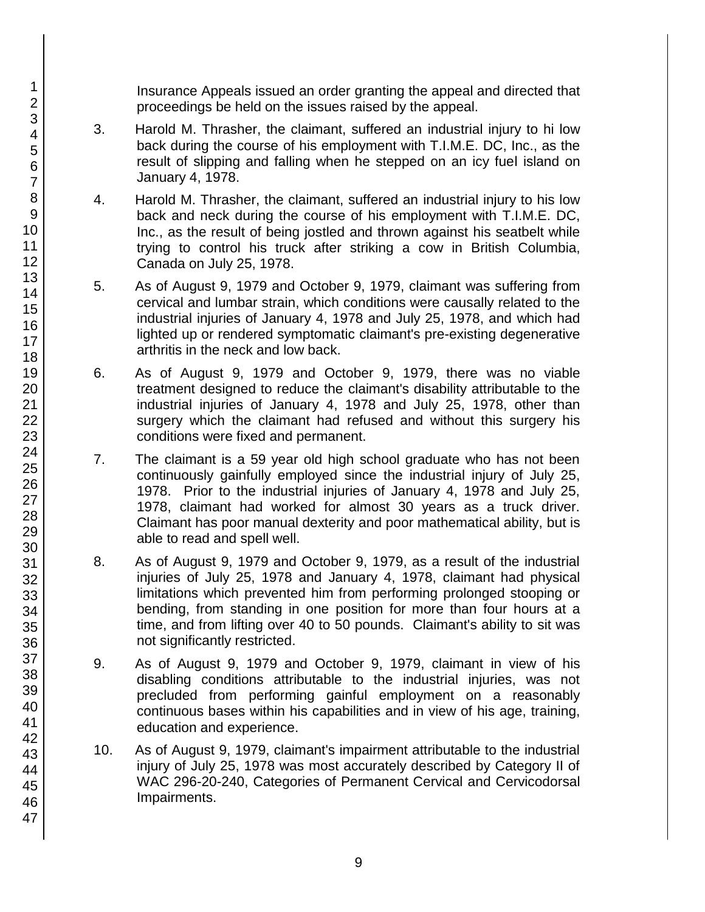Insurance Appeals issued an order granting the appeal and directed that proceedings be held on the issues raised by the appeal.

- 3. Harold M. Thrasher, the claimant, suffered an industrial injury to hi low back during the course of his employment with T.I.M.E. DC, Inc., as the result of slipping and falling when he stepped on an icy fuel island on January 4, 1978.
- 4. Harold M. Thrasher, the claimant, suffered an industrial injury to his low back and neck during the course of his employment with T.I.M.E. DC, Inc., as the result of being jostled and thrown against his seatbelt while trying to control his truck after striking a cow in British Columbia, Canada on July 25, 1978.
- 5. As of August 9, 1979 and October 9, 1979, claimant was suffering from cervical and lumbar strain, which conditions were causally related to the industrial injuries of January 4, 1978 and July 25, 1978, and which had lighted up or rendered symptomatic claimant's pre-existing degenerative arthritis in the neck and low back.
- 6. As of August 9, 1979 and October 9, 1979, there was no viable treatment designed to reduce the claimant's disability attributable to the industrial injuries of January 4, 1978 and July 25, 1978, other than surgery which the claimant had refused and without this surgery his conditions were fixed and permanent.
- 7. The claimant is a 59 year old high school graduate who has not been continuously gainfully employed since the industrial injury of July 25, 1978. Prior to the industrial injuries of January 4, 1978 and July 25, 1978, claimant had worked for almost 30 years as a truck driver. Claimant has poor manual dexterity and poor mathematical ability, but is able to read and spell well.
- 8. As of August 9, 1979 and October 9, 1979, as a result of the industrial injuries of July 25, 1978 and January 4, 1978, claimant had physical limitations which prevented him from performing prolonged stooping or bending, from standing in one position for more than four hours at a time, and from lifting over 40 to 50 pounds. Claimant's ability to sit was not significantly restricted.
- 9. As of August 9, 1979 and October 9, 1979, claimant in view of his disabling conditions attributable to the industrial injuries, was not precluded from performing gainful employment on a reasonably continuous bases within his capabilities and in view of his age, training, education and experience.
- 10. As of August 9, 1979, claimant's impairment attributable to the industrial injury of July 25, 1978 was most accurately described by Category II of WAC 296-20-240, Categories of Permanent Cervical and Cervicodorsal Impairments.